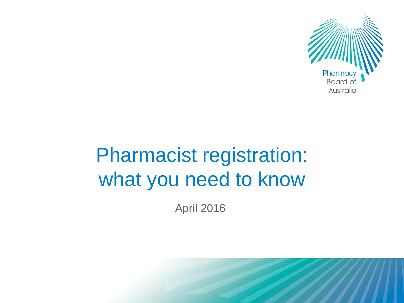

# Pharmacist registration: what you need to know

April 2016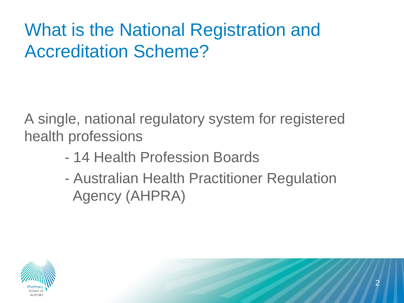# What is the National Registration and Accreditation Scheme?

A single, national regulatory system for registered health professions

- 14 Health Profession Boards
- Australian Health Practitioner Regulation Agency (AHPRA)



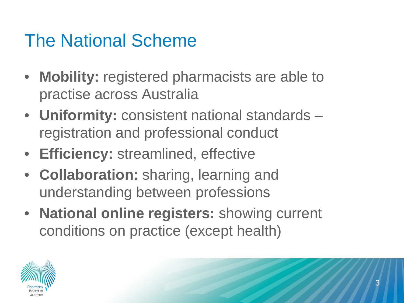### The National Scheme

- **Mobility:** registered pharmacists are able to practise across Australia
- **Uniformity:** consistent national standards registration and professional conduct
- **Efficiency:** streamlined, effective
- **Collaboration:** sharing, learning and understanding between professions
- **National online registers:** showing current conditions on practice (except health)

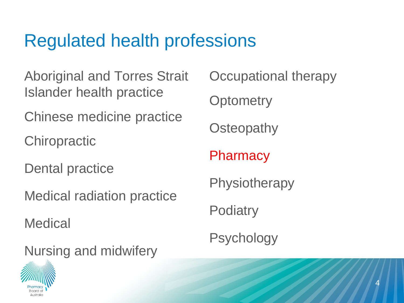### Regulated health professions

Aboriginal and Torres Strait Islander health practice

Chinese medicine practice

**Chiropractic** 

Dental practice

Medical radiation practice

**Medical** 

Nursing and midwifery

Occupational therapy **Optometry Osteopathy Pharmacy Physiotherapy Podiatry** Psychology

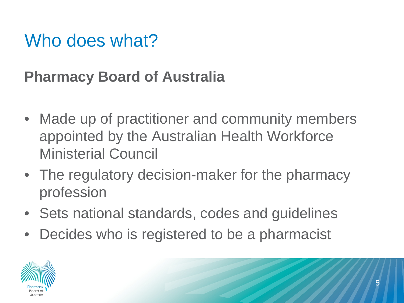### Who does what?

### **Pharmacy Board of Australia**

- Made up of practitioner and community members appointed by the Australian Health Workforce Ministerial Council
- The regulatory decision-maker for the pharmacy profession
- Sets national standards, codes and guidelines
- Decides who is registered to be a pharmacist

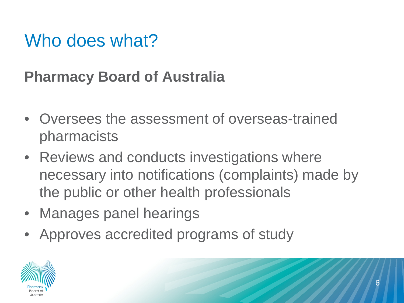### Who does what?

### **Pharmacy Board of Australia**

- Oversees the assessment of overseas-trained pharmacists
- Reviews and conducts investigations where necessary into notifications (complaints) made by the public or other health professionals
- Manages panel hearings
- Approves accredited programs of study

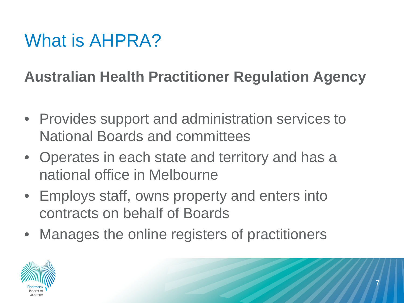## What is AHPRA?

### **Australian Health Practitioner Regulation Agency**

- Provides support and administration services to National Boards and committees
- Operates in each state and territory and has a national office in Melbourne
- Employs staff, owns property and enters into contracts on behalf of Boards
- Manages the online registers of practitioners

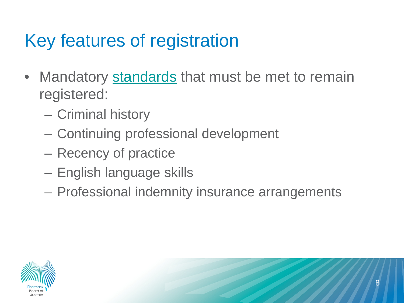## Key features of registration

- Mandatory [standards](http://www.pharmacyboard.gov.au/Registration-Standards.aspx) that must be met to remain registered:
	- Criminal history
	- Continuing professional development
	- Recency of practice
	- English language skills
	- Professional indemnity insurance arrangements

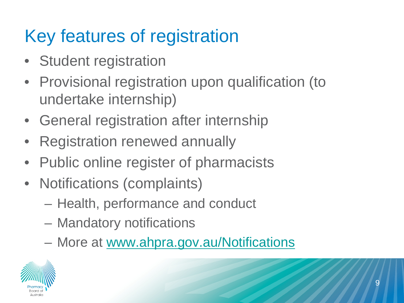# Key features of registration

- Student registration
- Provisional registration upon qualification (to undertake internship)
- General registration after internship
- Registration renewed annually
- Public online register of pharmacists
- Notifications (complaints)
	- Health, performance and conduct
	- Mandatory notifications
	- More at [www.ahpra.gov.au/Notifications](http://www.ahpra.gov.au/Notifications.aspx)

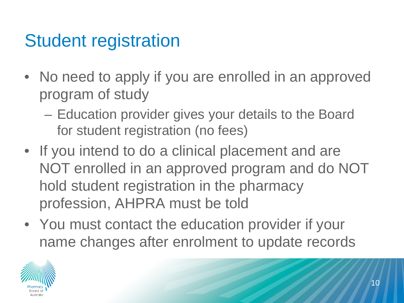### Student registration

- No need to apply if you are enrolled in an approved program of study
	- Education provider gives your details to the Board for student registration (no fees)
- If you intend to do a clinical placement and are NOT enrolled in an approved program and do NOT hold student registration in the pharmacy profession, AHPRA must be told
- You must contact the education provider if your name changes after enrolment to update records

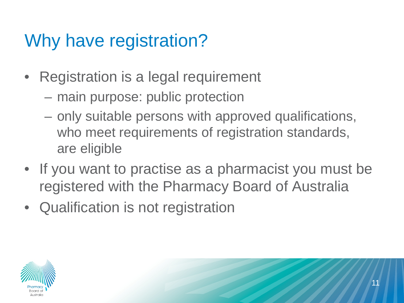## Why have registration?

- Registration is a legal requirement
	- main purpose: public protection
	- only suitable persons with approved qualifications, who meet requirements of registration standards, are eligible
- If you want to practise as a pharmacist you must be registered with the Pharmacy Board of Australia
- Qualification is not registration

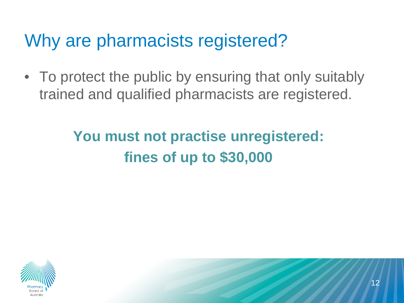### Why are pharmacists registered?

• To protect the public by ensuring that only suitably trained and qualified pharmacists are registered.

### **You must not practise unregistered: fines of up to \$30,000**

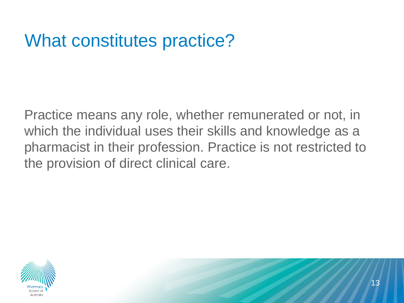### What constitutes practice?

Practice means any role, whether remunerated or not, in which the individual uses their skills and knowledge as a pharmacist in their profession. Practice is not restricted to the provision of direct clinical care.

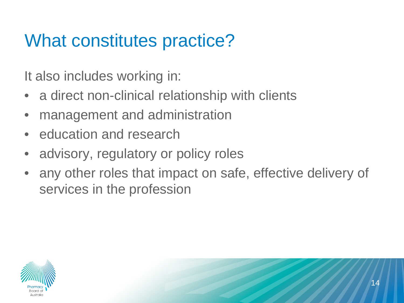## What constitutes practice?

It also includes working in:

- a direct non-clinical relationship with clients
- management and administration
- education and research
- advisory, regulatory or policy roles
- any other roles that impact on safe, effective delivery of services in the profession

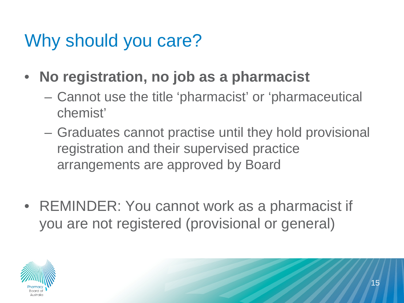### Why should you care?

- **No registration, no job as a pharmacist**
	- Cannot use the title 'pharmacist' or 'pharmaceutical chemist'
	- Graduates cannot practise until they hold provisional registration and their supervised practice arrangements are approved by Board
- REMINDER: You cannot work as a pharmacist if you are not registered (provisional or general)

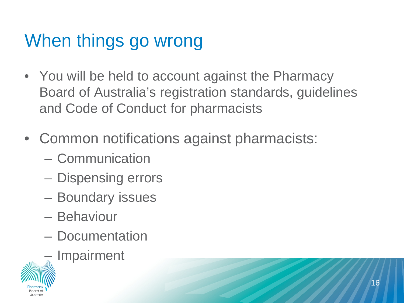# When things go wrong

- You will be held to account against the Pharmacy Board of Australia's registration standards, guidelines and Code of Conduct for pharmacists
- Common notifications against pharmacists:
	- Communication
	- Dispensing errors
	- Boundary issues
	- Behaviour
	- Documentation
	- **Impairment**

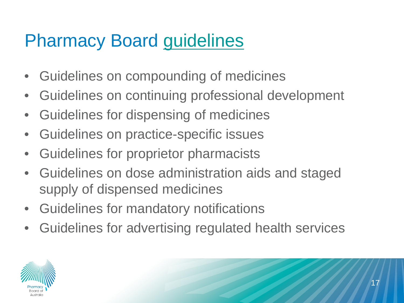### Pharmacy Board [guidelines](http://www.pharmacyboard.gov.au/Codes-Guidelines.aspx)

- Guidelines on compounding of medicines
- Guidelines on continuing professional development
- Guidelines for dispensing of medicines
- Guidelines on practice-specific issues
- Guidelines for proprietor pharmacists
- Guidelines on dose administration aids and staged supply of dispensed medicines
- Guidelines for mandatory notifications
- Guidelines for advertising regulated health services

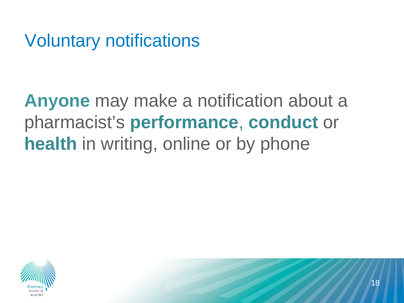Voluntary notifications

**Anyone** may make a notification about a pharmacist's **performance**, **conduct** or **health** in writing, online or by phone

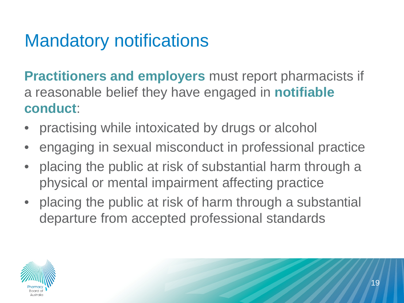## Mandatory notifications

**Practitioners and employers** must report pharmacists if a reasonable belief they have engaged in **notifiable conduct**:

- practising while intoxicated by drugs or alcohol
- engaging in sexual misconduct in professional practice
- placing the public at risk of substantial harm through a physical or mental impairment affecting practice
- placing the public at risk of harm through a substantial departure from accepted professional standards

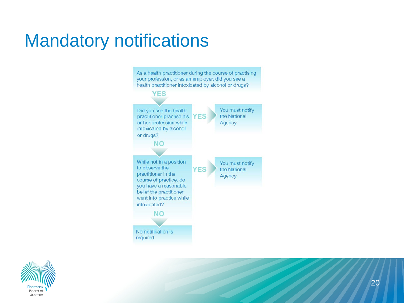### Mandatory notifications

As a health practitioner during the course of practising your profession, or as an employer, did you see a health practitioner intoxicated by alcohol or drugs? **YES** You must notify Did you see the health the National practitioner practise his **YES** or her profession while Agency intoxicated by alcohol or drugs? **NO** While not in a position You must notify to observe the **YES** the National practitioner in the Agency course of practice, do you have a reasonable belief the practitioner went into practice while intoxicated? NO No notification is required

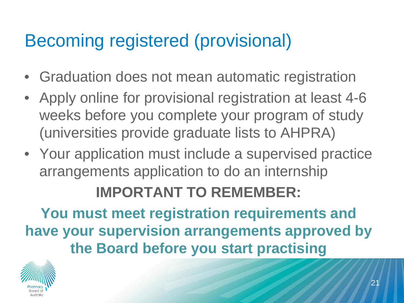## Becoming registered (provisional)

- Graduation does not mean automatic registration
- Apply online for provisional registration at least 4-6 weeks before you complete your program of study (universities provide graduate lists to AHPRA)
- Your application must include a supervised practice arrangements application to do an internship

#### **IMPORTANT TO REMEMBER:**

**You must meet registration requirements and have your supervision arrangements approved by the Board before you start practising**

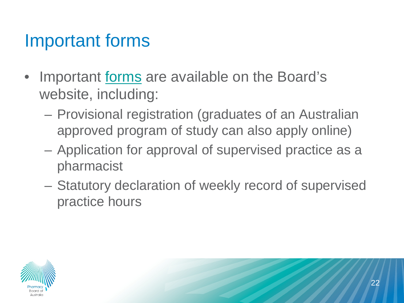### Important forms

- Important [forms](http://www.pharmacyboard.gov.au/Registration/Forms.aspx) are available on the Board's website, including:
	- Provisional registration (graduates of an Australian approved program of study can also apply online)
	- Application for approval of supervised practice as a pharmacist
	- Statutory declaration of weekly record of supervised practice hours

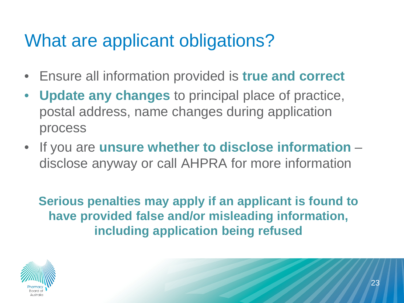## What are applicant obligations?

- Ensure all information provided is **true and correct**
- **Update any changes** to principal place of practice, postal address, name changes during application process
- If you are **unsure whether to disclose information**  disclose anyway or call AHPRA for more information

**Serious penalties may apply if an applicant is found to have provided false and/or misleading information, including application being refused**

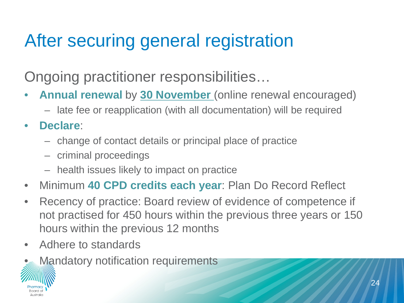# After securing general registration

Ongoing practitioner responsibilities…

- **Annual renewal** by **30 November** (online renewal encouraged)
	- late fee or reapplication (with all documentation) will be required
- **Declare**:
	- change of contact details or principal place of practice
	- criminal proceedings
	- health issues likely to impact on practice
- Minimum **40 CPD credits each year**: Plan Do Record Reflect
- Recency of practice: Board review of evidence of competence if not practised for 450 hours within the previous three years or 150 hours within the previous 12 months
- Adhere to standards
- **Mandatory notification requirements**